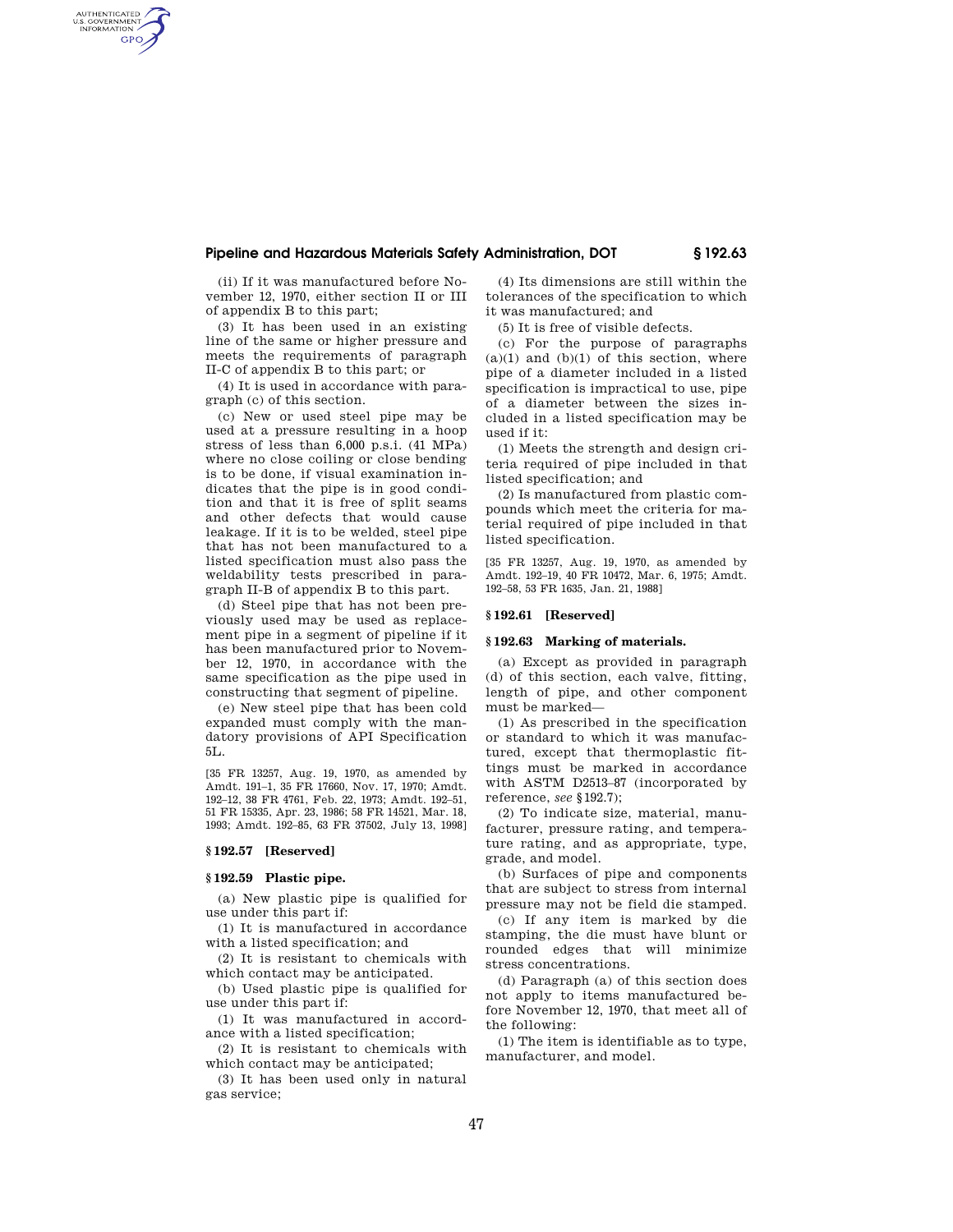# **Pipeline and Hazardous Materials Safety Administration, DOT § 192.63**

(ii) If it was manufactured before November 12, 1970, either section II or III of appendix B to this part;

AUTHENTICATED<br>U.S. GOVERNMENT<br>INFORMATION GPO

> (3) It has been used in an existing line of the same or higher pressure and meets the requirements of paragraph II-C of appendix B to this part; or

> (4) It is used in accordance with paragraph (c) of this section.

(c) New or used steel pipe may be used at a pressure resulting in a hoop stress of less than 6,000 p.s.i. (41 MPa) where no close coiling or close bending is to be done, if visual examination indicates that the pipe is in good condition and that it is free of split seams and other defects that would cause leakage. If it is to be welded, steel pipe that has not been manufactured to a listed specification must also pass the weldability tests prescribed in paragraph II-B of appendix B to this part.

(d) Steel pipe that has not been previously used may be used as replacement pipe in a segment of pipeline if it has been manufactured prior to November 12, 1970, in accordance with the same specification as the pipe used in constructing that segment of pipeline.

(e) New steel pipe that has been cold expanded must comply with the mandatory provisions of API Specification 5L.

[35 FR 13257, Aug. 19, 1970, as amended by Amdt. 191–1, 35 FR 17660, Nov. 17, 1970; Amdt. 192–12, 38 FR 4761, Feb. 22, 1973; Amdt. 192–51, 51 FR 15335, Apr. 23, 1986; 58 FR 14521, Mar. 18, 1993; Amdt. 192–85, 63 FR 37502, July 13, 1998]

# **§ 192.57 [Reserved]**

## **§ 192.59 Plastic pipe.**

(a) New plastic pipe is qualified for use under this part if:

(1) It is manufactured in accordance with a listed specification; and

(2) It is resistant to chemicals with which contact may be anticipated.

(b) Used plastic pipe is qualified for use under this part if:

(1) It was manufactured in accordance with a listed specification;

(2) It is resistant to chemicals with which contact may be anticipated;

(3) It has been used only in natural gas service;

(4) Its dimensions are still within the tolerances of the specification to which it was manufactured; and

(5) It is free of visible defects.

(c) For the purpose of paragraphs  $(a)(1)$  and  $(b)(1)$  of this section, where pipe of a diameter included in a listed specification is impractical to use, pipe of a diameter between the sizes included in a listed specification may be used if it:

(1) Meets the strength and design criteria required of pipe included in that listed specification; and

(2) Is manufactured from plastic compounds which meet the criteria for material required of pipe included in that listed specification.

[35 FR 13257, Aug. 19, 1970, as amended by Amdt. 192–19, 40 FR 10472, Mar. 6, 1975; Amdt. 192–58, 53 FR 1635, Jan. 21, 1988]

# **§ 192.61 [Reserved]**

# **§ 192.63 Marking of materials.**

(a) Except as provided in paragraph (d) of this section, each valve, fitting, length of pipe, and other component must be marked—

(1) As prescribed in the specification or standard to which it was manufactured, except that thermoplastic fittings must be marked in accordance with ASTM D2513–87 (incorporated by reference, *see* §192.7);

(2) To indicate size, material, manufacturer, pressure rating, and temperature rating, and as appropriate, type, grade, and model.

(b) Surfaces of pipe and components that are subject to stress from internal pressure may not be field die stamped.

(c) If any item is marked by die stamping, the die must have blunt or rounded edges that will minimize stress concentrations.

(d) Paragraph (a) of this section does not apply to items manufactured before November 12, 1970, that meet all of the following:

(1) The item is identifiable as to type, manufacturer, and model.